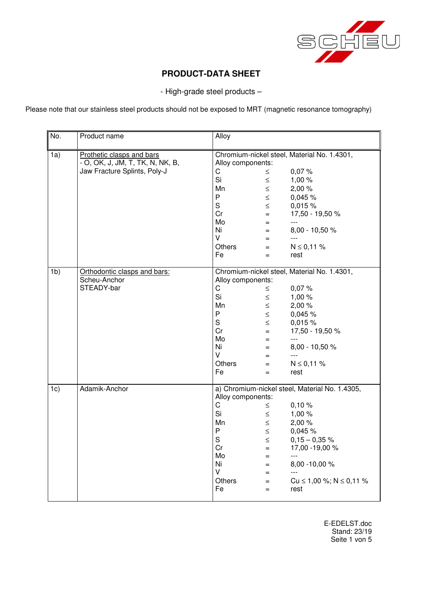

- High-grade steel products –

Please note that our stainless steel products should not be exposed to MRT (magnetic resonance tomography)

| No.            | Product name                                                  | Alloy                                                               |               |                                    |
|----------------|---------------------------------------------------------------|---------------------------------------------------------------------|---------------|------------------------------------|
| 1a)            | Prothetic clasps and bars<br>- O, OK, J, JM, T, TK, N, NK, B, | Chromium-nickel steel, Material No. 1.4301,<br>Alloy components:    |               |                                    |
|                | Jaw Fracture Splints, Poly-J                                  | $\mathsf C$                                                         | $\leq$        | 0,07%                              |
|                |                                                               | Si                                                                  | $\leq$        | 1,00 %                             |
|                |                                                               | Mn                                                                  | $\leq$        | 2,00 %                             |
|                |                                                               | P                                                                   | $\leq$        | 0,045 %                            |
|                |                                                               | $\mathsf S$                                                         | $\leq$        | 0,015%                             |
|                |                                                               | Cr                                                                  | $=$           | 17,50 - 19,50 %                    |
|                |                                                               | Mo                                                                  | $=$           | $---$                              |
|                |                                                               | Ni                                                                  | $=$           | 8,00 - 10,50 %                     |
|                |                                                               | V                                                                   | $=$           | $---$                              |
|                |                                                               | <b>Others</b>                                                       | $=$           | $N \le 0,11 \%$                    |
|                |                                                               | Fe                                                                  | $=$           | rest                               |
| 1 <sub>b</sub> | Orthodontic clasps and bars:                                  | Chromium-nickel steel, Material No. 1.4301,                         |               |                                    |
|                | Scheu-Anchor<br>STEADY-bar                                    | Alloy components:                                                   |               |                                    |
|                |                                                               | C                                                                   | $\leq$        | 0,07%                              |
|                |                                                               | Si                                                                  | $\leq$        | 1,00 %                             |
|                |                                                               | Mn                                                                  | $\leq$        | 2,00 %                             |
|                |                                                               | P                                                                   | $\leq$        | 0,045 %                            |
|                |                                                               | $\mathsf S$                                                         | $\leq$        | 0,015 %                            |
|                |                                                               | Cr                                                                  | $=$           | 17,50 - 19,50 %                    |
|                |                                                               | Mo                                                                  | $=$           | $---$                              |
|                |                                                               | Ni<br>V                                                             | $=$           | 8,00 - 10,50 %<br>$---$            |
|                |                                                               |                                                                     | $=$           |                                    |
|                |                                                               | <b>Others</b><br>Fe                                                 | $=$           | $N \le 0,11$ %                     |
|                |                                                               |                                                                     | $=$           | rest                               |
| 1c)            | Adamik-Anchor                                                 | a) Chromium-nickel steel, Material No. 1.4305,<br>Alloy components: |               |                                    |
|                |                                                               | $\mathsf C$                                                         | $\leq$        | 0,10%                              |
|                |                                                               | Si                                                                  | $\leq$        | 1,00 %                             |
|                |                                                               | Mn                                                                  | $\leq$        | 2,00 %                             |
|                |                                                               | P                                                                   | $\leq$        | 0,045 %                            |
|                |                                                               | $\mathsf S$                                                         |               |                                    |
|                |                                                               | Cr                                                                  | $\leq$<br>$=$ | $0,15 - 0,35 %$<br>17,00 - 19,00 % |
|                |                                                               | Mo                                                                  | $=$           | $\overline{a}$                     |
|                |                                                               | Ni                                                                  | $=$           | 8,00 - 10,00 %                     |
|                |                                                               | V                                                                   | $=$           |                                    |
|                |                                                               | <b>Others</b>                                                       | $=$           | Cu $\leq$ 1,00 %; N $\leq$ 0,11 %  |
|                |                                                               | Fe                                                                  | $=$           | rest                               |
|                |                                                               |                                                                     |               |                                    |

E-EDELST.doc Stand: 23/19 Seite 1 von 5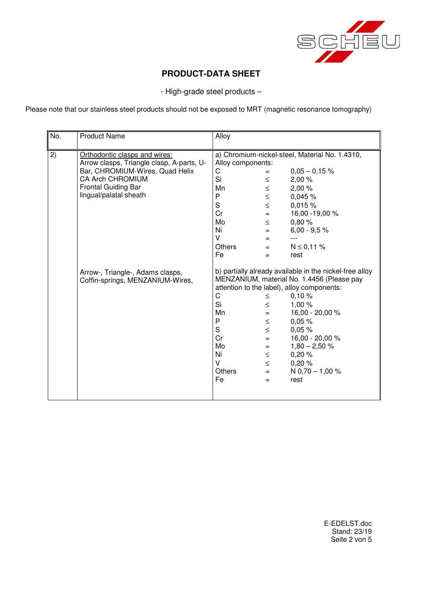

- High-grade steel products –

Please note that our stainless steel products should not be exposed to MRT (magnetic resonance tomography)

| No. | <b>Product Name</b>                                                        | Alloy                                                               |                                                                                             |                                                                                                                                                                                                                                                                                                 |
|-----|----------------------------------------------------------------------------|---------------------------------------------------------------------|---------------------------------------------------------------------------------------------|-------------------------------------------------------------------------------------------------------------------------------------------------------------------------------------------------------------------------------------------------------------------------------------------------|
| 2)  | Orthodontic clasps and wires:<br>Arrow clasps, Triangle clasp, A-parts, U- | a) Chromium-nickel-steel, Material No. 1.4310,<br>Alloy components: |                                                                                             |                                                                                                                                                                                                                                                                                                 |
|     | Bar, CHROMIUM-Wires, Quad Helix                                            | С                                                                   | $=$                                                                                         | $0,05 - 0,15%$                                                                                                                                                                                                                                                                                  |
|     | <b>CA Arch CHROMIUM</b>                                                    | Si                                                                  | $\leq$                                                                                      | 2,00%                                                                                                                                                                                                                                                                                           |
|     | <b>Frontal Guiding Bar</b>                                                 | Mn                                                                  | $\leq$                                                                                      | 2,00%                                                                                                                                                                                                                                                                                           |
|     | lingual/palatal sheath                                                     | P                                                                   | $\leq$                                                                                      | 0,045%                                                                                                                                                                                                                                                                                          |
|     |                                                                            | S                                                                   | $\leq$                                                                                      | 0,015%                                                                                                                                                                                                                                                                                          |
|     |                                                                            | Cr                                                                  | $=$                                                                                         | 16,00 - 19,00 %                                                                                                                                                                                                                                                                                 |
|     |                                                                            | Mo                                                                  | $\leq$                                                                                      | 0,80%                                                                                                                                                                                                                                                                                           |
|     |                                                                            | Ni                                                                  | $=$                                                                                         | $6,00 - 9,5 %$                                                                                                                                                                                                                                                                                  |
|     |                                                                            | V                                                                   | $=$                                                                                         | $---$                                                                                                                                                                                                                                                                                           |
|     |                                                                            | <b>Others</b>                                                       | $=$                                                                                         | $N \le 0,11 \%$                                                                                                                                                                                                                                                                                 |
|     |                                                                            | Fe                                                                  | $=$                                                                                         | rest                                                                                                                                                                                                                                                                                            |
|     | Arrow-, Triangle-, Adams clasps,<br>Coffin-springs, MENZANIUM-Wires,       | C<br>Si<br>Mn<br>P<br>S<br>Cr<br>Mo<br>Ni<br>V<br>Others<br>Fe      | $\leq$<br>$\leq$<br>$=$<br>$\leq$<br>$\leq$<br>$=$<br>$=$<br>$\leq$<br>$\leq$<br>$=$<br>$=$ | b) partially already available in the nickel-free alloy<br>MENZANIUM, material No. 1.4456 (Please pay<br>attention to the label), alloy components:<br>0,10%<br>1,00%<br>16,00 - 20,00 %<br>0.05%<br>0.05%<br>16,00 - 20,00 %<br>$1,80 - 2,50 %$<br>0,20%<br>0,20%<br>N $0,70 - 1,00 %$<br>rest |

E-EDELST.doc Stand: 23/19 Seite 2 von 5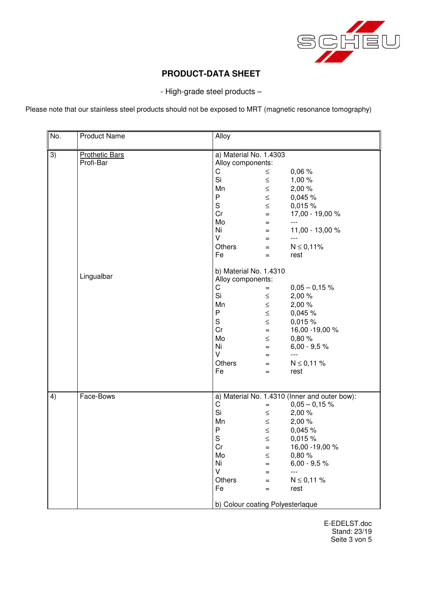

- High-grade steel products –

Please note that our stainless steel products should not be exposed to MRT (magnetic resonance tomography)

| No. | <b>Product Name</b>                | Alloy                                         |        |                         |
|-----|------------------------------------|-----------------------------------------------|--------|-------------------------|
| 3)  | <b>Prothetic Bars</b><br>Profi-Bar | a) Material No. 1.4303<br>Alloy components:   |        |                         |
|     |                                    | C                                             | $\leq$ | 0,06%                   |
|     |                                    | Si                                            | $\leq$ | 1,00 %                  |
|     |                                    | Mn                                            | $\leq$ | 2,00 %                  |
|     |                                    | P                                             | $\leq$ | 0,045 %                 |
|     |                                    | S                                             | $\leq$ | 0,015 %                 |
|     |                                    | Cr                                            | $=$    | 17,00 - 19,00 %         |
|     |                                    | Mo                                            | $=$    | $---$                   |
|     |                                    | Ni                                            | $=$    | 11,00 - 13,00 %         |
|     |                                    | V                                             | $=$    | $---$                   |
|     |                                    | Others                                        | $=$    | $N \le 0,11\%$          |
|     |                                    | Fe                                            | $=$    | rest                    |
|     | Lingualbar                         | b) Material No. 1.4310<br>Alloy components:   |        |                         |
|     |                                    | C                                             | $=$    | $0,05 - 0,15$ %         |
|     |                                    | Si                                            | $\leq$ | 2,00 %                  |
|     |                                    | Mn                                            | $\leq$ | 2,00 %                  |
|     |                                    | P                                             | $\leq$ | 0,045 %                 |
|     |                                    | S                                             | $\leq$ | 0,015 %                 |
|     |                                    | Cr                                            | $=$    | 16,00 - 19,00 %         |
|     |                                    | Mo                                            | $\leq$ | 0,80%                   |
|     |                                    | Ni                                            | $=$    | $6,00 - 9,5 %$          |
|     |                                    | V                                             | $=$    |                         |
|     |                                    | Others<br>Fe                                  | $=$    | $N \le 0,11 \%$<br>rest |
|     |                                    |                                               | $=$    |                         |
| 4)  | Face-Bows                          | a) Material No. 1.4310 (Inner and outer bow): |        |                         |
|     |                                    | $\mathsf C$                                   | $=$    | $0,05 - 0,15$ %         |
|     |                                    | Si                                            | $\leq$ | 2,00%                   |
|     |                                    | Mn                                            | $\leq$ | 2,00 %                  |
|     |                                    | ${\sf P}$                                     | $\leq$ | 0,045 %                 |
|     |                                    | $\mathbf S$                                   | $\leq$ | 0,015 %                 |
|     |                                    | Cr                                            |        | 16,00 - 19,00 %         |
|     |                                    | Mo                                            | $\leq$ | 0,80%                   |
|     |                                    | Ni                                            | $=$    | $6,00 - 9,5 %$          |
|     |                                    | V                                             | $=$    | $---$                   |
|     |                                    | Others                                        | $=$    | $N \le 0,11 \%$         |
|     |                                    | Fe                                            | $=$    | rest                    |
|     |                                    | b) Colour coating Polyesterlaque              |        |                         |

E-EDELST.doc Stand: 23/19 Seite 3 von 5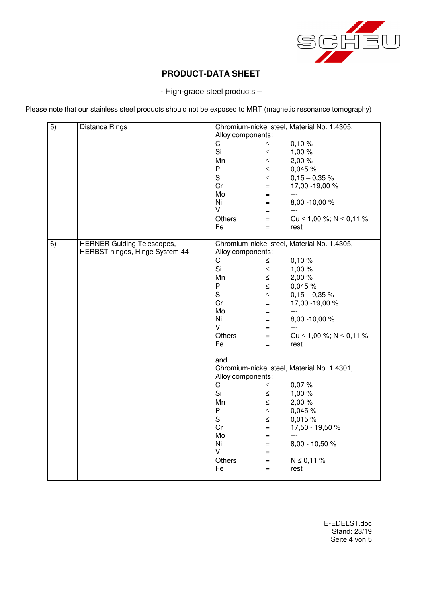

- High-grade steel products –

Please note that our stainless steel products should not be exposed to MRT (magnetic resonance tomography)

| 5) | <b>Distance Rings</b>             | Chromium-nickel steel, Material No. 1.4305, |        |                                             |
|----|-----------------------------------|---------------------------------------------|--------|---------------------------------------------|
|    |                                   | Alloy components:                           |        |                                             |
|    |                                   | C.                                          | $\leq$ | 0,10%                                       |
|    |                                   | Si                                          | $\leq$ | 1,00%                                       |
|    |                                   | Mn                                          | $\leq$ | 2,00 %                                      |
|    |                                   | P                                           | $\leq$ | 0,045 %                                     |
|    |                                   | S                                           | $\leq$ | $0,15 - 0,35$ %                             |
|    |                                   | Cr                                          | $=$    | 17,00 - 19,00 %                             |
|    |                                   | Mo                                          | $=$    | $---$                                       |
|    |                                   | Ni                                          | $=$    | 8,00 - 10,00 %                              |
|    |                                   | V                                           | $=$    | $---$                                       |
|    |                                   | Others                                      | $=$    | Cu $\leq$ 1,00 %; N $\leq$ 0,11 %           |
|    |                                   | Fe                                          | $=$    | rest                                        |
|    |                                   |                                             |        |                                             |
| 6) | <b>HERNER Guiding Telescopes,</b> |                                             |        | Chromium-nickel steel, Material No. 1.4305, |
|    | HERBST hinges, Hinge System 44    | Alloy components:                           |        |                                             |
|    |                                   | C                                           | $\leq$ | 0,10%                                       |
|    |                                   | Si                                          | $\leq$ | 1,00 %                                      |
|    |                                   | Mn                                          | $\leq$ | 2,00 %                                      |
|    |                                   | P                                           | $\leq$ | 0,045 %                                     |
|    |                                   | S                                           | $\leq$ | $0,15 - 0,35$ %                             |
|    |                                   | Cr                                          | $=$    | 17,00 - 19,00 %                             |
|    |                                   | Mo                                          | $=$    | $\overline{a}$                              |
|    |                                   | Ni                                          | $=$    | 8,00 - 10,00 %                              |
|    |                                   | V                                           | $=$    | ---                                         |
|    |                                   | <b>Others</b>                               | $=$    | Cu $\leq$ 1,00 %; N $\leq$ 0,11 %           |
|    |                                   | Fe                                          | $=$    | rest                                        |
|    |                                   |                                             |        |                                             |
|    |                                   | and                                         |        |                                             |
|    |                                   |                                             |        | Chromium-nickel steel, Material No. 1.4301, |
|    |                                   | Alloy components:                           |        |                                             |
|    |                                   | C                                           | $\leq$ | 0,07%                                       |
|    |                                   | Si                                          | $\leq$ | 1,00 %                                      |
|    |                                   | Mn                                          | $\leq$ | 2,00 %                                      |
|    |                                   | P                                           | $\leq$ | 0,045 %                                     |
|    |                                   | S                                           | $\leq$ | 0,015%                                      |
|    |                                   | Cr                                          | $=$    | 17,50 - 19,50 %                             |
|    |                                   | Mo                                          | $=$    | ---                                         |
|    |                                   | Ni                                          | $=$    | 8,00 - 10,50 %                              |
|    |                                   | V                                           | $=$    | $---$                                       |
|    |                                   | Others                                      | $=$    | $N \le 0,11 \%$                             |
|    |                                   | Fe                                          | $=$    | rest                                        |
|    |                                   |                                             |        |                                             |